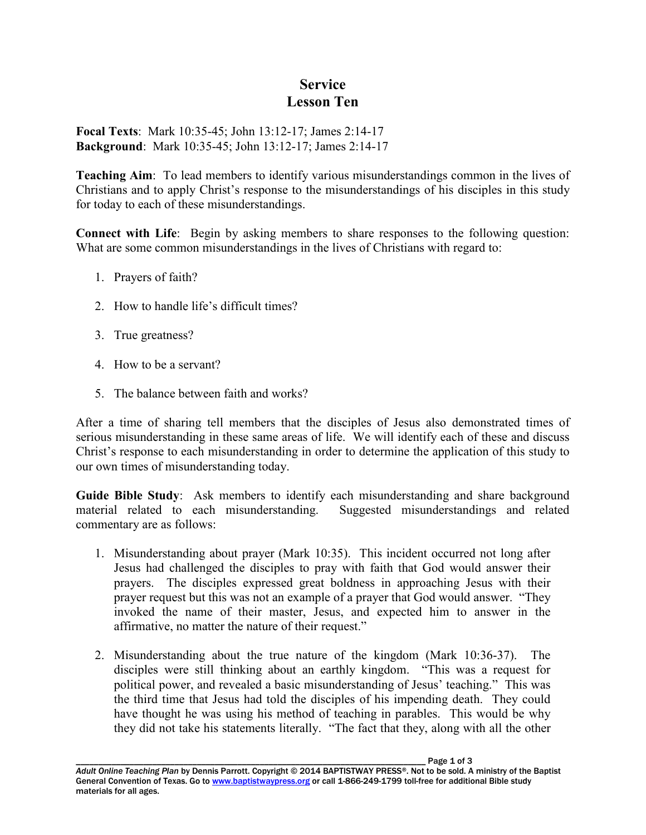## **Service Lesson Ten**

**Focal Texts**: Mark 10:35-45; John 13:12-17; James 2:14-17 **Background**: Mark 10:35-45; John 13:12-17; James 2:14-17

**Teaching Aim**: To lead members to identify various misunderstandings common in the lives of Christians and to apply Christ's response to the misunderstandings of his disciples in this study for today to each of these misunderstandings.

**Connect with Life**: Begin by asking members to share responses to the following question: What are some common misunderstandings in the lives of Christians with regard to:

- 1. Prayers of faith?
- 2. How to handle life's difficult times?
- 3. True greatness?
- 4. How to be a servant?
- 5. The balance between faith and works?

After a time of sharing tell members that the disciples of Jesus also demonstrated times of serious misunderstanding in these same areas of life. We will identify each of these and discuss Christ's response to each misunderstanding in order to determine the application of this study to our own times of misunderstanding today.

**Guide Bible Study**: Ask members to identify each misunderstanding and share background material related to each misunderstanding. Suggested misunderstandings and related commentary are as follows:

- 1. Misunderstanding about prayer (Mark 10:35). This incident occurred not long after Jesus had challenged the disciples to pray with faith that God would answer their prayers. The disciples expressed great boldness in approaching Jesus with their prayer request but this was not an example of a prayer that God would answer. "They invoked the name of their master, Jesus, and expected him to answer in the affirmative, no matter the nature of their request."
- 2. Misunderstanding about the true nature of the kingdom (Mark 10:36-37). The disciples were still thinking about an earthly kingdom. "This was a request for political power, and revealed a basic misunderstanding of Jesus' teaching." This was the third time that Jesus had told the disciples of his impending death. They could have thought he was using his method of teaching in parables. This would be why they did not take his statements literally. "The fact that they, along with all the other

Page 1 of 3 *Adult Online Teaching Plan* by Dennis Parrott. Copyright © 2014 BAPTISTWAY PRESS®. Not to be sold. A ministry of the Baptist General Convention of Texas. Go to www.baptistwaypress.org or call 1-866-249-1799 toll-free for additional Bible study materials for all ages.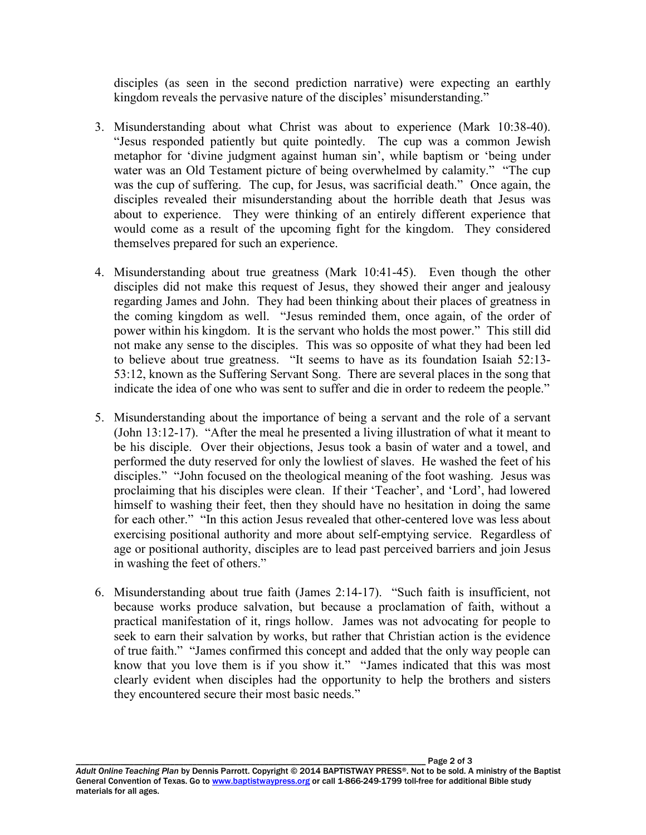disciples (as seen in the second prediction narrative) were expecting an earthly kingdom reveals the pervasive nature of the disciples' misunderstanding."

- 3. Misunderstanding about what Christ was about to experience (Mark 10:38-40). "Jesus responded patiently but quite pointedly. The cup was a common Jewish metaphor for 'divine judgment against human sin', while baptism or 'being under water was an Old Testament picture of being overwhelmed by calamity." "The cup was the cup of suffering. The cup, for Jesus, was sacrificial death." Once again, the disciples revealed their misunderstanding about the horrible death that Jesus was about to experience. They were thinking of an entirely different experience that would come as a result of the upcoming fight for the kingdom. They considered themselves prepared for such an experience.
- 4. Misunderstanding about true greatness (Mark 10:41-45). Even though the other disciples did not make this request of Jesus, they showed their anger and jealousy regarding James and John. They had been thinking about their places of greatness in the coming kingdom as well. "Jesus reminded them, once again, of the order of power within his kingdom. It is the servant who holds the most power." This still did not make any sense to the disciples. This was so opposite of what they had been led to believe about true greatness. "It seems to have as its foundation Isaiah 52:13- 53:12, known as the Suffering Servant Song. There are several places in the song that indicate the idea of one who was sent to suffer and die in order to redeem the people."
- 5. Misunderstanding about the importance of being a servant and the role of a servant (John 13:12-17). "After the meal he presented a living illustration of what it meant to be his disciple. Over their objections, Jesus took a basin of water and a towel, and performed the duty reserved for only the lowliest of slaves. He washed the feet of his disciples." "John focused on the theological meaning of the foot washing. Jesus was proclaiming that his disciples were clean. If their 'Teacher', and 'Lord', had lowered himself to washing their feet, then they should have no hesitation in doing the same for each other." "In this action Jesus revealed that other-centered love was less about exercising positional authority and more about self-emptying service. Regardless of age or positional authority, disciples are to lead past perceived barriers and join Jesus in washing the feet of others."
- 6. Misunderstanding about true faith (James 2:14-17). "Such faith is insufficient, not because works produce salvation, but because a proclamation of faith, without a practical manifestation of it, rings hollow. James was not advocating for people to seek to earn their salvation by works, but rather that Christian action is the evidence of true faith." "James confirmed this concept and added that the only way people can know that you love them is if you show it." "James indicated that this was most clearly evident when disciples had the opportunity to help the brothers and sisters they encountered secure their most basic needs."

Page 2 of 3 *Adult Online Teaching Plan* by Dennis Parrott. Copyright © 2014 BAPTISTWAY PRESS®. Not to be sold. A ministry of the Baptist General Convention of Texas. Go to www.baptistwaypress.org or call 1-866-249-1799 toll-free for additional Bible study materials for all ages.